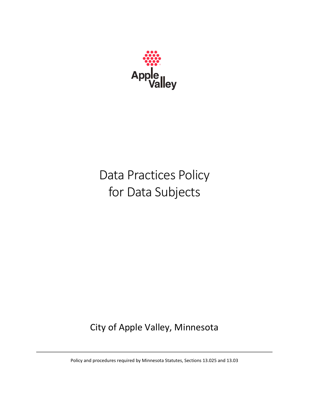

# Data Practices Policy for Data Subjects

City of Apple Valley, Minnesota

Policy and procedures required by Minnesota Statutes, Sections 13.025 and 13.03

the contract of the contract of the contract of the contract of the contract of the contract of the contract of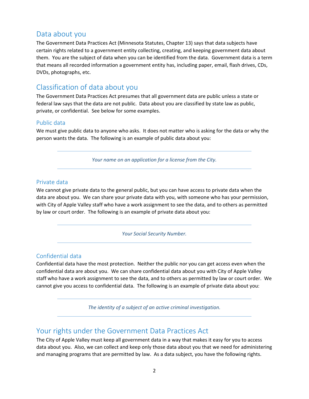# Data about you

The Government Data Practices Act (Minnesota Statutes, Chapter 13) says that data subjects have certain rights related to a government entity collecting, creating, and keeping government data about them. You are the subject of data when you can be identified from the data. Government data is a term that means all recorded information a government entity has, including paper, email, flash drives, CDs, DVDs, photographs, etc.

# Classification of data about you

The Government Data Practices Act presumes that all government data are public unless a state or federal law says that the data are not public. Data about you are classified by state law as public, private, or confidential. See below for some examples.

## Public data

We must give public data to anyone who asks. It does not matter who is asking for the data or why the person wants the data. The following is an example of public data about you:

*Your name on an application for a license from the City.*

## Private data

We cannot give private data to the general public, but you can have access to private data when the data are about you. We can share your private data with you, with someone who has your permission, with City of Apple Valley staff who have a work assignment to see the data, and to others as permitted by law or court order. The following is an example of private data about you:

*Your Social Security Number.*

## Confidential data

Confidential data have the most protection. Neither the public nor you can get access even when the confidential data are about you. We can share confidential data about you with City of Apple Valley staff who have a work assignment to see the data, and to others as permitted by law or court order. We cannot give you access to confidential data. The following is an example of private data about you:

*The identity of a subject of an active criminal investigation.*

# Your rights under the Government Data Practices Act

The City of Apple Valley must keep all government data in a way that makes it easy for you to access data about you. Also, we can collect and keep only those data about you that we need for administering and managing programs that are permitted by law. As a data subject, you have the following rights.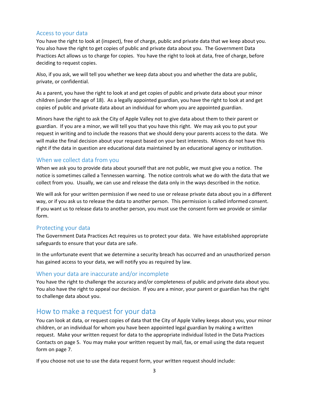## Access to your data

You have the right to look at (inspect), free of charge, public and private data that we keep about you. You also have the right to get copies of public and private data about you. The Government Data Practices Act allows us to charge for copies. You have the right to look at data, free of charge, before deciding to request copies.

Also, if you ask, we will tell you whether we keep data about you and whether the data are public, private, or confidential.

As a parent, you have the right to look at and get copies of public and private data about your minor children (under the age of 18). As a legally appointed guardian, you have the right to look at and get copies of public and private data about an individual for whom you are appointed guardian.

Minors have the right to ask the City of Apple Valley not to give data about them to their parent or guardian. If you are a minor, we will tell you that you have this right. We may ask you to put your request in writing and to include the reasons that we should deny your parents access to the data. We will make the final decision about your request based on your best interests. Minors do not have this right if the data in question are educational data maintained by an educational agency or institution.

## When we collect data from you

When we ask you to provide data about yourself that are not public, we must give you a notice. The notice is sometimes called a Tennessen warning. The notice controls what we do with the data that we collect from you. Usually, we can use and release the data only in the ways described in the notice.

We will ask for your written permission if we need to use or release private data about you in a different way, or if you ask us to release the data to another person. This permission is called informed consent. If you want us to release data to another person, you must use the consent form we provide or similar form.

## Protecting your data

The Government Data Practices Act requires us to protect your data. We have established appropriate safeguards to ensure that your data are safe.

In the unfortunate event that we determine a security breach has occurred and an unauthorized person has gained access to your data, we will notify you as required by law.

## When your data are inaccurate and/or incomplete

You have the right to challenge the accuracy and/or completeness of public and private data about you. You also have the right to appeal our decision. If you are a minor, your parent or guardian has the right to challenge data about you.

# How to make a request for your data

You can look at data, or request copies of data that the City of Apple Valley keeps about you, your minor children, or an individual for whom you have been appointed legal guardian by making a written request. Make your written request for data to the appropriate individual listed in the Data Practices Contacts on page 5. You may make your written request by mail, fax, or email using the data request form on page 7.

If you choose not use to use the data request form, your written request should include: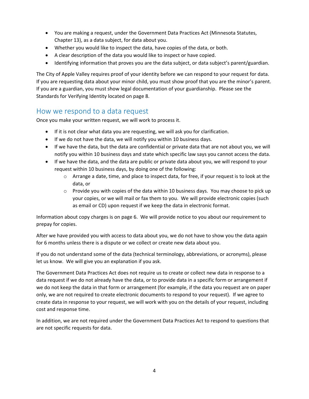- You are making a request, under the Government Data Practices Act (Minnesota Statutes, Chapter 13), as a data subject, for data about you.
- Whether you would like to inspect the data, have copies of the data, or both.
- A clear description of the data you would like to inspect or have copied.
- Identifying information that proves you are the data subject, or data subject's parent/guardian.

The City of Apple Valley requires proof of your identity before we can respond to your request for data. If you are requesting data about your minor child, you must show proof that you are the minor's parent. If you are a guardian, you must show legal documentation of your guardianship. Please see the Standards for Verifying Identity located on page 8.

# How we respond to a data request

Once you make your written request, we will work to process it.

- If it is not clear what data you are requesting, we will ask you for clarification.
- If we do not have the data, we will notify you within 10 business days.
- If we have the data, but the data are confidential or private data that are not about you, we will notify you within 10 business days and state which specific law says you cannot access the data.
- If we have the data, and the data are public or private data about you, we will respond to your request within 10 business days, by doing one of the following:
	- o Arrange a date, time, and place to inspect data, for free, if your request is to look at the data, or
	- o Provide you with copies of the data within 10 business days. You may choose to pick up your copies, or we will mail or fax them to you. We will provide electronic copies (such as email or CD) upon request if we keep the data in electronic format.

Information about copy charges is on page 6. We will provide notice to you about our requirement to prepay for copies.

After we have provided you with access to data about you, we do not have to show you the data again for 6 months unless there is a dispute or we collect or create new data about you.

If you do not understand some of the data (technical terminology, abbreviations, or acronyms), please let us know. We will give you an explanation if you ask.

The Government Data Practices Act does not require us to create or collect new data in response to a data request if we do not already have the data, or to provide data in a specific form or arrangement if we do not keep the data in that form or arrangement (for example, if the data you request are on paper only, we are not required to create electronic documents to respond to your request). If we agree to create data in response to your request, we will work with you on the details of your request, including cost and response time.

In addition, we are not required under the Government Data Practices Act to respond to questions that are not specific requests for data.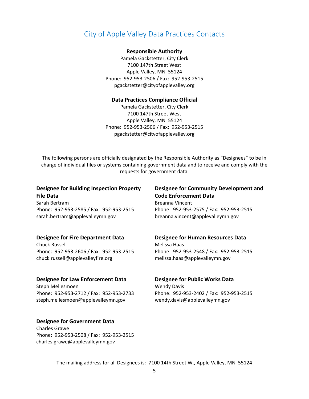# City of Apple Valley Data Practices Contacts

#### **Responsible Authority**

Pamela Gackstetter, City Clerk 7100 147th Street West Apple Valley, MN 55124 Phone: 952‐953‐2506 / Fax: 952‐953‐2515 pgackstetter@cityofapplevalley.org

#### **Data Practices Compliance Official**

Pamela Gackstetter, City Clerk 7100 147th Street West Apple Valley, MN 55124 Phone: 952‐953‐2506 / Fax: 952‐953‐2515 pgackstetter@cityofapplevalley.org

The following persons are officially designated by the Responsible Authority as "Designees" to be in charge of individual files or systems containing government data and to receive and comply with the requests for government data.

#### **Designee for Building Inspection Property File Data**

Sarah Bertram Phone: 952‐953‐2585 / Fax: 952‐953‐2515 sarah.bertram@applevalleymn.gov

#### **Designee for Fire Department Data**

Chuck Russell Phone: 952‐953‐2606 / Fax: 952‐953‐2515 chuck.russell@applevalleyfire.org

#### **Designee for Law Enforcement Data**

Steph Mellesmoen Phone: 952‐953‐2712 / Fax: 952‐953‐2733 steph.mellesmoen@applevalleymn.gov

#### **Designee for Government Data**

Charles Grawe Phone: 952‐953‐2508 / Fax: 952‐953‐2515 charles.grawe@applevalleymn.gov

#### **Designee for Community Development and Code Enforcement Data**

Breanna Vincent Phone: 952‐953‐2575 / Fax: 952‐953‐2515 breanna.vincent@applevalleymn.gov

## **Designee for Human Resources Data** Melissa Haas

Phone: 952‐953‐2548 / Fax: 952‐953‐2515 melissa.haas@applevalleymn.gov

#### **Designee for Public Works Data**

Wendy Davis Phone: 952‐953‐2402 / Fax: 952‐953‐2515 wendy.davis@applevalleymn.gov

The mailing address for all Designees is: 7100 14th Street W., Apple Valley, MN 55124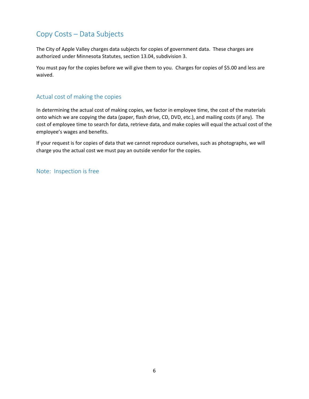# Copy Costs – Data Subjects

The City of Apple Valley charges data subjects for copies of government data. These charges are authorized under Minnesota Statutes, section 13.04, subdivision 3.

You must pay for the copies before we will give them to you. Charges for copies of \$5.00 and less are waived.

## Actual cost of making the copies

In determining the actual cost of making copies, we factor in employee time, the cost of the materials onto which we are copying the data (paper, flash drive, CD, DVD, etc.), and mailing costs (if any). The cost of employee time to search for data, retrieve data, and make copies will equal the actual cost of the employee's wages and benefits.

If your request is for copies of data that we cannot reproduce ourselves, such as photographs, we will charge you the actual cost we must pay an outside vendor for the copies.

Note: Inspection is free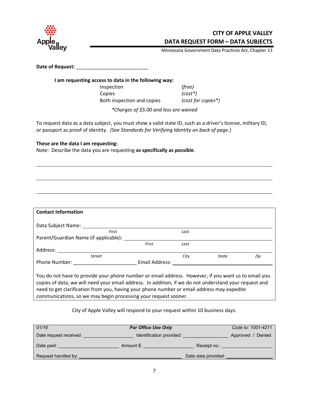

## **CITY OF APPLE VALLEY DATA REQUEST FORM – DATA SUBJECTS**

Minnesota Government Data Practices Act, Chapter 13

**Date of Request:** \_\_\_\_\_\_\_\_\_\_\_\_\_\_\_\_\_\_\_\_\_\_\_\_\_\_

**I am requesting access to data in the following way:** Inspection *(free)* Copies *(cost\*)* Both inspection and copies *(cost for copies\*)*

*\*Charges of \$5.00 and less are waived*

To request data as a data subject, you must show a valid state ID, such as a driver's license, military ID, or passport as proof of identity. *(See Standards for Verifying Identity on back of page.)*

<u> 1989 - Johann Barn, mars et al. (b. 1989)</u>

<u> 1980 - Johann Stoff, die erste besteht der Stoffens und die Stoffens und die Stoffens und die Stoffens und die</u>

#### **These are the data I am requesting:**

Note: Describe the data you are requesting **as specifically as possible**.

| <b>Contact Information</b>                                                                                                                                                                                                                                                                                                                                                     |                |      |       |     |
|--------------------------------------------------------------------------------------------------------------------------------------------------------------------------------------------------------------------------------------------------------------------------------------------------------------------------------------------------------------------------------|----------------|------|-------|-----|
| Data Subject Name:                                                                                                                                                                                                                                                                                                                                                             |                |      |       |     |
| First                                                                                                                                                                                                                                                                                                                                                                          |                | Last |       |     |
| Parent/Guardian Name (if applicable):                                                                                                                                                                                                                                                                                                                                          |                |      |       |     |
|                                                                                                                                                                                                                                                                                                                                                                                | First          | Last |       |     |
| Address:                                                                                                                                                                                                                                                                                                                                                                       |                |      |       |     |
| <b>Street</b>                                                                                                                                                                                                                                                                                                                                                                  |                | City | State | Zip |
| Phone Number:                                                                                                                                                                                                                                                                                                                                                                  | Email Address: |      |       |     |
| You do not have to provide your phone number or email address. However, if you want us to email you<br>copies of data, we will need your email address. In addition, if we do not understand your request and<br>need to get clarification from you, having your phone number or email address may expedite<br>communications, so we may begin processing your request sooner. |                |      |       |     |

City of Apple Valley will respond to your request within 10 business days.

| 01/16                  | <b>For Office Use Only</b> |                      | Code to: 1001-4211 |
|------------------------|----------------------------|----------------------|--------------------|
| Date request received: | Identification provided:   | Denied<br>Approved / |                    |
| Date paid:             | Amount \$:                 | Receipt no.:         |                    |
| Request handled by:    |                            | Date data provided:  |                    |